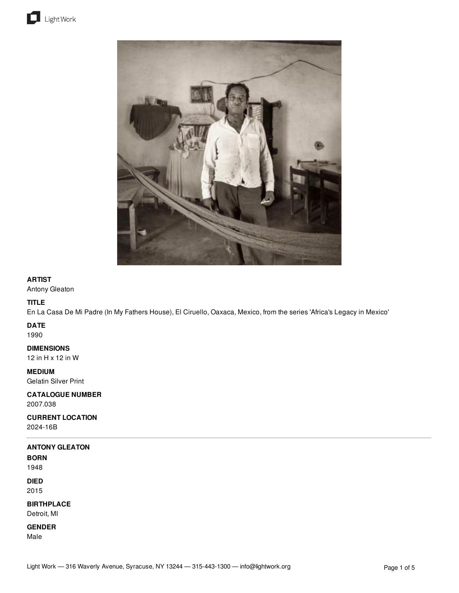





### **ARTIST**

Antony Gleaton

# **TITLE**

En La Casa De Mi Padre (In My Fathers House), El Ciruello, Oaxaca, Mexico, from the series 'Africa's Legacy in Mexico'

### **DATE**

1990

### **DIMENSIONS**

12 in H x 12 in W

## **MEDIUM**

Gelatin Silver Print

# **CATALOGUE NUMBER** 2007.038

**CURRENT LOCATION**

2024-16B

# **ANTONY GLEATON**

**BORN**

1948 **DIED**

2015

## **BIRTHPLACE**

Detroit, MI

# **GENDER**

Male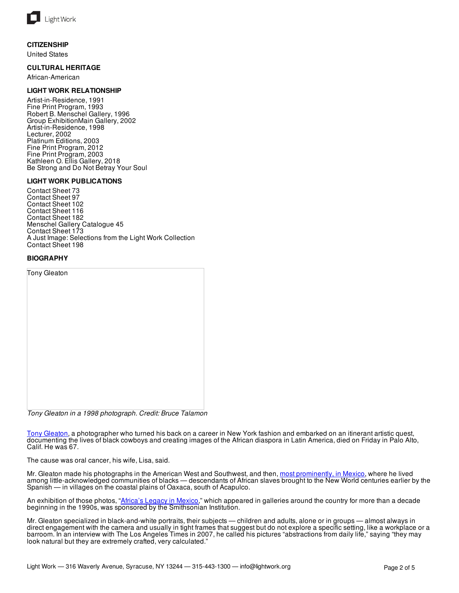

### **CITIZENSHIP**

United States

### **CULTURAL HERITAGE**

African-American

### **LIGHT WORK RELATIONSHIP**

Artist-in-Residence, 1991 Fine Print Program, 1993 Robert B. Menschel Gallery, 1996 Group ExhibitionMain Gallery, 2002 Artist-in-Residence, 1998 Lecturer, 2002 Platinum Editions, 2003 Fine Print Program, 2012 Fine Print Program, 2003 Kathleen O. Ellis Gallery, 2018 Be Strong and Do Not Betray Your Soul

#### **LIGHT WORK PUBLICATIONS**

Contact Sheet 73 Contact Sheet 97 Contact Sheet 102 Contact Sheet 116 Contact Sheet 182 Menschel Gallery Catalogue 45 Contact Sheet 173 A Just Image: Selections from the Light Work Collection Contact Sheet 198

#### **BIOGRAPHY**

| <b>Tony Gleaton</b> |  |  |
|---------------------|--|--|
|                     |  |  |
|                     |  |  |
|                     |  |  |
|                     |  |  |
|                     |  |  |
|                     |  |  |
|                     |  |  |
|                     |  |  |

*Tony Gleaton in a 1998 photograph. Credit: Bruce Talamon*

Tony [Gleaton,](http://www.tonygleaton.com/TonyGleaton.com/Home_page.html) a photographer who turned his back on a career in New York fashion and embarked on an itinerant artistic quest, documenting the lives of black cowboys and creating images of the African diaspora in Latin America, died on Friday in Palo Alto, Calif. He was 67.

The cause was oral cancer, his wife, Lisa, said.

Mr. Gleaton made his photographs in the American West and Southwest, and then, most [prominently,](https://www.youtube.com/watch?v=zmHT8Y8lPnM) in Mexico, where he lived among little-acknowledged communities of blacks — descendants of African slaves brought to the New World centuries earlier by the Spanish — in villages on the coastal plains of Oaxaca, south of Acapulco.

An exhibition of those photos, ["Africa's](http://www.smithsonianeducation.org/migrations/legacy/alm.html) Legacy in Mexico," which appeared in galleries around the country for more than a decade beginning in the 1990s, was sponsored by the Smithsonian Institution.

Mr. Gleaton specialized in black-and-white portraits, their subjects — children and adults, alone or in groups — almost always in direct engagement with the camera and usually in tight frames that suggest but do not explore a specific setting, like a workplace or a barroom. In an interview with The Los Angeles Times in 2007, he called his pictures "abstractions from daily life," saying "they may look natural but they are extremely crafted, very calculated."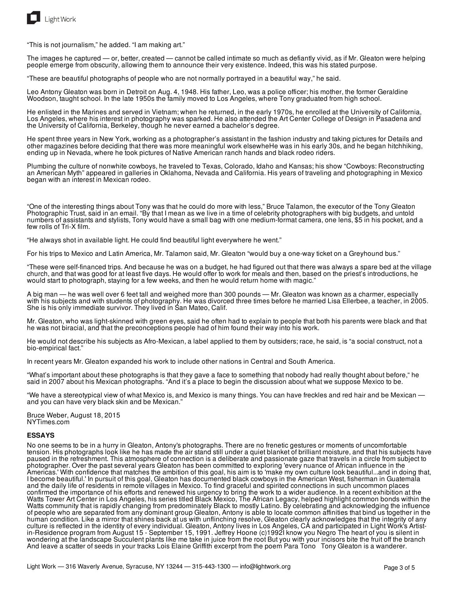

"This is not journalism," he added. "I am making art."

The images he captured — or, better, created — cannot be called intimate so much as defiantly vivid, as if Mr. Gleaton were helping people emerge from obscurity, allowing them to announce their very existence. Indeed, this was his stated purpose.

"These are beautiful photographs of people who are not normally portrayed in a beautiful way," he said.

Leo Antony Gleaton was born in Detroit on Aug. 4, 1948. His father, Leo, was a police officer; his mother, the former Geraldine Woodson, taught school. In the late 1950s the family moved to Los Angeles, where Tony graduated from high school.

He enlisted in the Marines and served in Vietnam; when he returned, in the early 1970s, he enrolled at the University of California, Los Angeles, where his interest in photography was sparked. He also attended the Art Center College of Design in Pasadena and the University of California, Berkeley, though he never earned a bachelor's degree.

He spent three years in New York, working as a photographer's assistant in the fashion industry and taking pictures for Details and other magazines before deciding that there was more meaningful work elsewheHe was in his early 30s, and he began hitchhiking, ending up in Nevada, where he took pictures of Native American ranch hands and black rodeo riders.

Plumbing the culture of nonwhite cowboys, he traveled to Texas, Colorado, Idaho and Kansas; his show "Cowboys: Reconstructing an American Myth" appeared in galleries in Oklahoma, Nevada and California. His years of traveling and photographing in Mexico began with an interest in Mexican rodeo.

"One of the interesting things about Tony was that he could do more with less," Bruce Talamon, the executor of the Tony Gleaton Photographic Trust, said in an email. "By that I mean as we live in a time of celebrity photographers with big budgets, and untold numbers of assistants and stylists, Tony would have a small bag with one medium-format camera, one lens, \$5 in his pocket, and a few rolls of Tri-X film.

"He always shot in available light. He could find beautiful light everywhere he went."

For his trips to Mexico and Latin America, Mr. Talamon said, Mr. Gleaton "would buy a one-way ticket on a Greyhound bus."

"These were self-financed trips. And because he was on a budget, he had figured out that there was always a spare bed at the village church, and that was good for at least five days. He would offer to work for meals and then, based on the priest's introductions, he would start to photograph, staying for a few weeks, and then he would return home with magic."

A big man — he was well over 6 feet tall and weighed more than 300 pounds — Mr. Gleaton was known as a charmer, especially with his subjects and with students of photography. He was divorced three times before he married Lisa Ellerbee, a teacher, in 2005. She is his only immediate survivor. They lived in San Mateo, Calif.

Mr. Gleaton, who was light-skinned with green eyes, said he often had to explain to people that both his parents were black and that he was not biracial, and that the preconceptions people had of him found their way into his work.

He would not describe his subjects as Afro-Mexican, a label applied to them by outsiders; race, he said, is "a social construct, not a bio-empirical fact."

In recent years Mr. Gleaton expanded his work to include other nations in Central and South America.

"What's important about these photographs is that they gave a face to something that nobody had really thought about before," he said in 2007 about his Mexican photographs. "And it's a place to begin the discussion about what we suppose Mexico to be.

"We have a stereotypical view of what Mexico is, and Mexico is many things. You can have freckles and red hair and be Mexican and you can have very black skin and be Mexican."

Bruce Weber, August 18, 2015 NYTimes.com

### **ESSAYS**

No one seems to be in a hurry in Gleaton, Antony's photographs. There are no frenetic gestures or moments of uncomfortable tension. His photographs look like he has made the air stand still under a quiet blanket of brilliant moisture, and that his subjects have paused in the refreshment. This atmosphere of connection is a deliberate and passionate gaze that travels in a circle from subject to photographer. Over the past several years Gleaton has been committed to exploring 'every nuance of African influence in the Americas.' With confidence that matches the ambition of this goal, his aim is to 'make my own culture look beautiful...and in doing that, I become beautiful.' In pursuit of this goal, Gleaton has documented black cowboys in the American West, fisherman in Guatemala and the daily life of residents in remote villages in Mexico. To find graceful and spirited connections in such uncommon places confirmed the importance of his efforts and renewed his urgency to bring the work to a wider audience. In a recent exhibition at the Watts Tower Art Center in Los Angeles, his series titled Black Mexico, The African Legacy, helped highlight common bonds within the Watts community that is rapidly changing from predominately Black to mostly Latino. By celebrating and acknowledging the influence of people who are separated from any dominant group Gleaton, Antony is able to locate common affinities that bind us together in the human condition. Like a mirror that shines back at us with unflinching resolve, Gleaton clearly acknowledges that the integrity of any culture is reflected in the identity of every individual. Gleaton, Antony lives in Los Angeles, CA and participated in Light Work's Artistin-Residence program from August 15 - September 15, 1991. Jeffrey Hoone (c)1992I know you Negro The heart of you is silent in wondering at the landscape Succulent plants like me take in juice from the root But you with your incisors bite the fruit off the branch And leave a scatter of seeds in your tracks Lois Elaine Griffith excerpt from the poem Para Tono Tony Gleaton is a wanderer.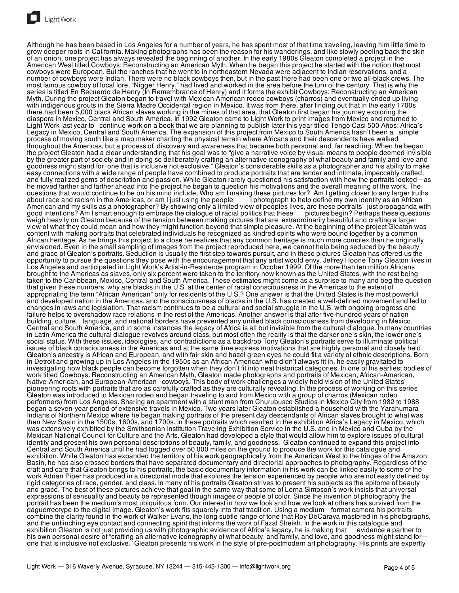

Light Work

Although he has been based in Los Angeles for a number of years, he has spent most of that time traveling, leaving him little time to grow deeper roots in California. Making photographs has been the reason for his wanderings, and like slowly peeling back the skin of an onion, one project has always revealed the beginning of another. In the early 1980s Gleaton completed a project in the American West titled Cowboys: Reconstructing an American Myth. When he began this project he started with the notion that most cowboys were European. But the ranches that he went to in northeastern Nevada were adjacent to Indian reservations, and a number of cowboys were Indian. There were no black cowboys then, but in the past there had been one or two all-black crews. The most famous cowboy of local lore, "Nigger Henry," had lived and worked in the area before the turn of the century. That is why the series is titled En Recuerdo de Henry (In Remembrance of Henry) and it forms the exhibit Cowboys: Reconstructing an American Myth. During the project Gleaton began to travel with Mexican American rodeo cowboys (charros) and eventually ended up living with indigenous grouts in the Sierra Madre Occidental region in Mexico. It was from there, after finding out that in the early 1700s there had been 5,000 black African slaves working in the mines of that area, that Gleaton first began his journey exploring the diaspora in Mexico, Central and South America. In 1992 Gleaton came to Light Work to print images from Mexico and returned to Light Work last year to continue work on a book that we are planning to publish later this year titled Tengo Casi 500 Años: Africa's Legacy in Mexico, Central and South America. The expansion of this project from Mexico to South America hasn't been a simple process of moving south like a map maker charting the physical terrain where Africans and their descendents have walked throughout the Americas, but a process of discovery and awareness that became both personal and far reaching. When he began the project Gleaton had a clear understanding that his goal was to "give a narrative voice by visual means to people deemed invisible by the greater part of society and in doing so deliberately crafting an alternative iconography of what beauty and family and love and goodness might stand for, one that is inclusive not exclusive." Gleaton's considerable skills as a photographer and his ability to make easy connections with a wide range of people have combined to produce portraits that are tender and intimate, impeccably crafted, and fully realized gems of description and passion. While Gleaton rarely questioned his satisfaction with how the portraits looked– he moved farther and farther ahead into the project he began to question his motivations and the overall meaning of the work. The questions that would continue to be on his mind include, Who am I making these pictures for? Am I getting closer to any larger truths about race and racism in the Americas, or am I just using the people I photograph to help define my own identity as an African American and my skills as a photographer? By showing only a limited view of peoples lives, are these portraits just propaganda with good intentions? Am I smart enough to embrace the dialogue of racial politics that these pictures begin? Perhaps these questions good intentions? Am I smart enough to embrace the dialogue of racial politics that these pictures begin? Perhaps these questions weigh heavily on Gleaton because of the tension between making pictures that are extraordinar view of what they could mean and how they might function beyond that simple pleasure. At the beginning of the project Gleaton was content with making portraits that celebrated individuals he recognized as kindred spirits who were bound together by a common African heritage. As he brings this project to a close he realizes that any common heritage is much more complex than he originally envisioned. Even in the small sampling of images from the project reproduced here, we cannot help being seduced by the beauty and grace of Gleaton's portraits. Seduction is usually the first step towards pursuit, and in these pictures Gleaton has offered us the opportunity to pursue the questions they pose with the encouragement that any artist would envy. Jeffrey Hoone Tony Gleaton lives in Los Angeles and participated in Light Work's Artist-in-Residence program in October 1999. Of the more than ten million Africans brought to the Americas as slaves, only six percent were taken to the territory now known as the United States, with the rest being taken to the Caribbean, Mexico, Central and South America. These estimates might come as a surprise to many and beg the question that given these numbers, why are blacks in the U.S. at the center of racial consciousness in the Americas to the extent of appropriating the term "African American" only for residents of the U.S.? One answer is that the United States is the most powerful and developed nation in the Americas, and the consciousness of blacks in the U.S. has created a well-defined movement and led to changes in laws and legislation. That racism continues to be a cultural and social struggle in the U.S. with ongoing progress and failure helps to overshadow race relations in the rest of the Americas. Another answer is that after five-hundred years of nation building, culture, language, and national borders have prevented any unified black consciousness from developing in Mexico, Central and South America, and in some instances the legacy of Africa is all but invisible from the cultural dialogue. In many countries in Latin America the cultural dialogue revolves around class, but most often the reality is that the darker one's skin, the lower one's social status. With these issues, ideologies, and contradictions as a backdrop Tony Gleaton's portraits serve to illuminate political issues of black consciousness in the Americas and at the same time express motivations that are highly personal and closely held. Gleaton's ancestry is African and European, and with fair skin and hazel green eyes he could fit a variety of ethnic descriptions. Born in Detroit and growing up in Los Angeles in the 1950s as an African American who didn't always fit in, he easily gravitated to investigating how black people can become forgotten when they don't fit into neat historical categories. In one of his earliest bodies of work titled Cowboys: Reconstructing an American Myth, Gleaton made photographs and portraits of Mexican, African-American, Native-American, and European-American cowboys. This body of work challenges a widely held vision of the United States' pioneering roots with portraits that are as carefully crafted as they are culturally revealing. In the process of working on this series Gleaton was introduced to Mexican rodeo and began traveling to and from Mexico with a group of charros (Mexican rodeo performers) from Los Angeles. Sharing an apartment with a stunt man from Churubusco Studios in Mexico City from 1982 to 1988 began a seven-year period of extensive travels in Mexico. Two years later Gleaton established a household with the Yarahumara Indians of Northern Mexico where he began making portraits of the present day descendants of African slaves brought to what was then New Spain in the 1500s, 1600s, and 1700s. In these portraits which resulted in the exhibition Africa's Legacy in Mexico, which was extensively exhibited by the Smithsonian Institution Traveling Exhibition Service in the U.S. and in Mexico and Cuba by the Mexican National Council for Culture and the Arts, Gleaton had developed a style that would allow him to explore issues of cultural identity and present his own personal descriptions of beauty, family, and goodness. Gleaton continued to expand this project into Central and South America until he had logged over 50,000 miles on the ground to produce the work for this catalogue and exhibition. While Gleaton has expanded the territory of his work geographically from the American West to the fringes of the Amazon Basin, he has also crossed borders that have separated documentary and directorial approaches to photography. Regardless of the craft and care that Gleaton brings to his portraits, the basic documentary information in his work can be linked easily to some of the work Adrian Piper has produced in a directorial mode that explores the tension experienced by people who are not easily defined by rigid categories of race, gender, and class. In many of his portraits Gleaton strives to present his subjects as the epitome of beauty and grace. The best of these pictures achieve that goal in the same way that some of Lorna Simpson's work insists that universal expressions of sensuality and beauty be represented though images of people of color. Since the invention of photography the portrait has been the medium's most ubiquitous form. Our interest in how we look and how we look at others has survived from the daguerreotype to the digital image. Gleaton's work fits squarely into that tradition. Using a medium format camera his portraits combine the clarity found in the work of Walker Evans, the long subtle range of tone that Roy DeCarava mastered in his photographs, and the unflinching eye contact and connecting spirit that informs the work of Fazal Sheikh. In the work in this catalogue and exhibition Gleaton is not just providing us with photographic evidence of Africa's legacy, he is making that evidence a partner to his own personal desire of "crafting an alternative iconography of what beauty, and family, and love, and goodness might stand for one that is inclusive not exclusive." Gleaton presents his work in the style of pre-postmodern art photography. His prints are expertly